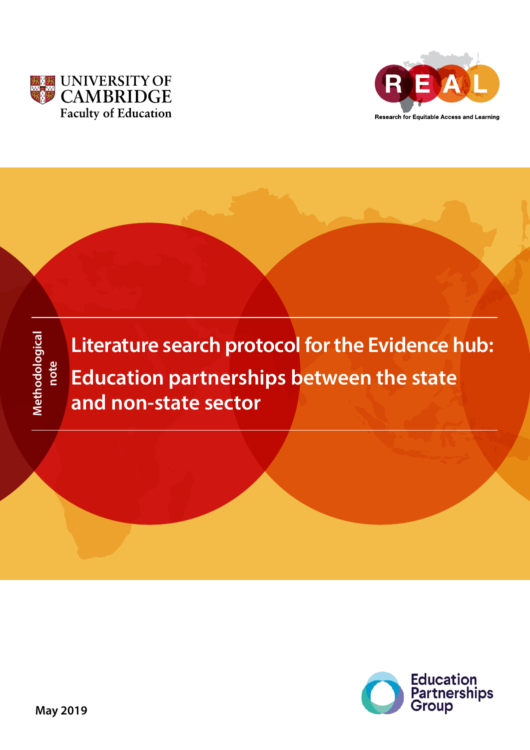



**Literature search protocol for the Evidence hub: Education partnerships between the state note**

**and non-state sector**



**Methodological** 

Methodological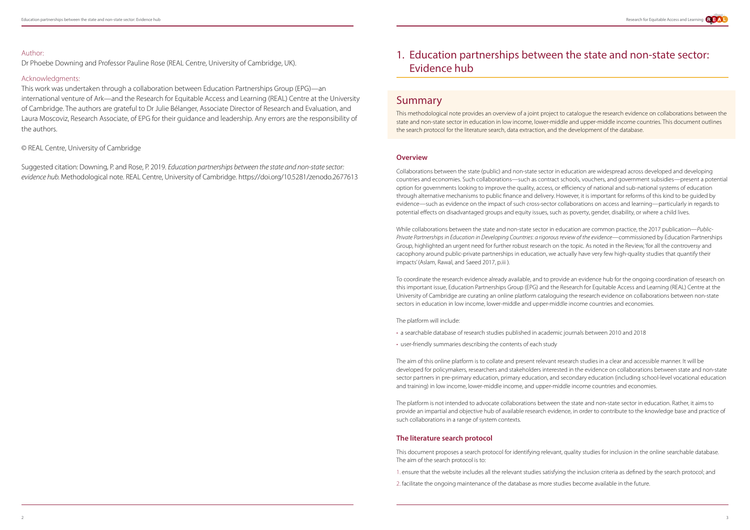# Author:

Dr Phoebe Downing and Professor Pauline Rose (REAL Centre, University of Cambridge, UK).

# Acknowledgments:

This work was undertaken through a collaboration between Education Partnerships Group (EPG)—an international venture of Ark—and the Research for Equitable Access and Learning (REAL) Centre at the University of Cambridge. The authors are grateful to Dr Julie Bélanger, Associate Director of Research and Evaluation, and Laura Moscoviz, Research Associate, of EPG for their guidance and leadership. Any errors are the responsibility of the authors.

© REAL Centre, University of Cambridge

Suggested citation: Downing, P. and Rose, P. 2019. *Education partnerships between the state and non-state sector: evidence hub.* Methodological note. REAL Centre, University of Cambridge. https://doi.org/10.5281/zenodo.2677613



# 1. Education partnerships between the state and non-state sector: Evidence hub

# Summary

This methodological note provides an overview of a joint project to catalogue the research evidence on collaborations between the state and non-state sector in education in low income, lower-middle and upper-middle income countries. This document outlines the search protocol for the literature search, data extraction, and the development of the database.

# **Overview**

Collaborations between the state (public) and non-state sector in education are widespread across developed and developing countries and economies. Such collaborations—such as contract schools, vouchers, and government subsidies—present a potential option for governments looking to improve the quality, access, or efficiency of national and sub-national systems of education through alternative mechanisms to public finance and delivery. However, it is important for reforms of this kind to be guided by evidence—such as evidence on the impact of such cross-sector collaborations on access and learning—particularly in regards to potential effects on disadvantaged groups and equity issues, such as poverty, gender, disability, or where a child lives.

While collaborations between the state and non-state sector in education are common practice, the 2017 publication—*Public-Private Partnerships in Education in Developing Countries*: *a rigorous review of the evidence*—commissioned by Education Partnerships Group, highlighted an urgent need for further robust research on the topic. As noted in the Review, 'for all the controversy and cacophony around public-private partnerships in education, we actually have very few high-quality studies that quantify their impacts' (Aslam, Rawal, and Saeed 2017, p.iii ).

To coordinate the research evidence already available, and to provide an evidence hub for the ongoing coordination of research on this important issue, Education Partnerships Group (EPG) and the Research for Equitable Access and Learning (REAL) Centre at the University of Cambridge are curating an online platform cataloguing the research evidence on collaborations between non-state sectors in education in low income, lower-middle and upper-middle income countries and economies.

The platform will include:

- a searchable database of research studies published in academic journals between 2010 and 2018
- user-friendly summaries describing the contents of each study

The aim of this online platform is to collate and present relevant research studies in a clear and accessible manner. It will be developed for policymakers, researchers and stakeholders interested in the evidence on collaborations between state and non-state sector partners in pre-primary education, primary education, and secondary education (including school-level vocational education and training) in low income, lower-middle income, and upper-middle income countries and economies.

The platform is not intended to advocate collaborations between the state and non-state sector in education. Rather, it aims to provide an impartial and objective hub of available research evidence, in order to contribute to the knowledge base and practice of such collaborations in a range of system contexts.

# **The literature search protocol**

This document proposes a search protocol for identifying relevant, quality studies for inclusion in the online searchable database. The aim of the search protocol is to:

1. ensure that the website includes all the relevant studies satisfying the inclusion criteria as defined by the search protocol; and

2. facilitate the ongoing maintenance of the database as more studies become available in the future.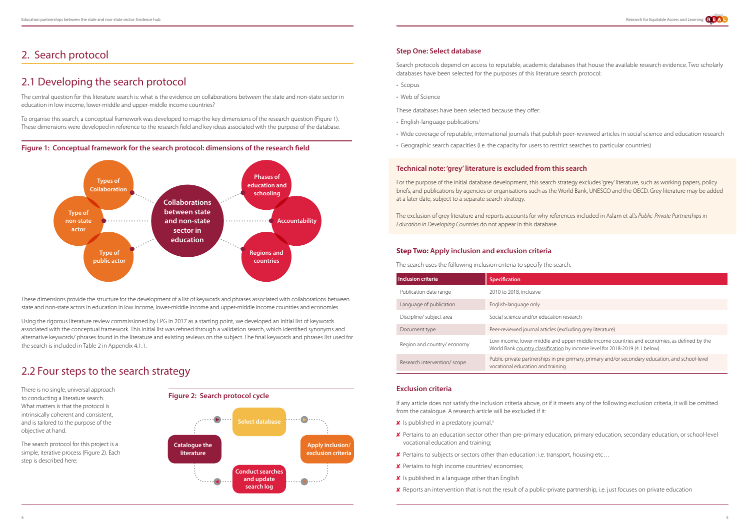# 2. Search protocol

# 2.1 Developing the search protocol

The central question for this literature search is: what is the evidence on collaborations between the state and non-state sector in education in low income, lower-middle and upper-middle income countries?

To organise this search, a conceptual framework was developed to map the key dimensions of the research question (Figure 1). These dimensions were developed in reference to the research field and key ideas associated with the purpose of the database.

These dimensions provide the structure for the development of a list of keywords and phrases associated with collaborations between state and non-state actors in education in low income, lower-middle income and upper-middle income countries and economies.

Using the rigorous literature review commissioned by EPG in 2017 as a starting point, we developed an initial list of keywords associated with the conceptual framework. This initial list was refined through a validation search, which identified synonyms and alternative keywords/ phrases found in the literature and existing reviews on the subject. The final keywords and phrases list used for the search is included in Table 2 in Appendix 4.1.1.



# 2.2 Four steps to the search strategy

- English-language publications<sup>i</sup>
- Wide coverage of reputable, international journals that publish peer-reviewed articles in social science and education research
- Geographic search capacities (i.e. the capacity for users to restrict searches to particular countries)

There is no single, universal approach to conducting a literature search. What matters is that the protocol is intrinsically coherent and consistent, and is tailored to the purpose of the objective at hand.

The search protocol for this project is a simple, iterative process (Figure 2). Each step is described here:



# **Step One: Select database**

Search protocols depend on access to reputable, academic databases that house the available research evidence. Two scholarly databases have been selected for the purposes of this literature search protocol:

- Is published in a predatory journal,ii
- Pertains to an education sector other than pre-primary education, primary education, secondary education, or school-level vocational education and training;
- Pertains to subjects or sectors other than education: i.e. transport, housing etc…
- X Pertains to high income countries/ economies;
- $\boldsymbol{\times}$  Is published in a language other than English
- Reports an intervention that is not the result of a public-private partnership, i.e. just focuses on private education



cluding grey literature)

pper-middle income countries and economies, as defined by the by income level for 2018-2019 (4.1 below)

-primary, primary and/or secondary education, and school-level

- Scopus
- Web of Science

These databases have been selected because they offer:

# **Technical note: 'grey' literature is excluded from this search**

For the purpose of the initial database development, this search strategy excludes 'grey' literature, such as working papers, policy briefs, and publications by agencies or organisations such as the World Bank, UNESCO and the OECD. Grey literature may be added at a later date, subject to a separate search strategy.

The exclusion of grey literature and reports accounts for why references included in Aslam et al.'s *Public-Private Partnerships in Education in Developing Countries* do not appear in this database.

# **Step Two: Apply inclusion and exclusion criteria**

The search uses the following inclusion criteria to specify the search.

| <b>Inclusion criteria</b>   | <b>Specification</b>                                                              |
|-----------------------------|-----------------------------------------------------------------------------------|
| Publication date range      | 2010 to 2018, inclusive                                                           |
| Language of publication     | English-language only                                                             |
| Discipline/ subject area    | Social science and/or education research                                          |
| Document type               | Peer-reviewed journal articles (excluding                                         |
| Region and country/ economy | Low-income, lower-middle and upper-m<br>World Bank country classification by inco |
| Research intervention/scope | Public-private partnerships in pre-primar<br>vocational education and training    |

# **Exclusion criteria**

If any article does not satisfy the inclusion criteria above, or if it meets any of the following exclusion criteria, it will be omitted from the catalogue. A research article will be excluded if it: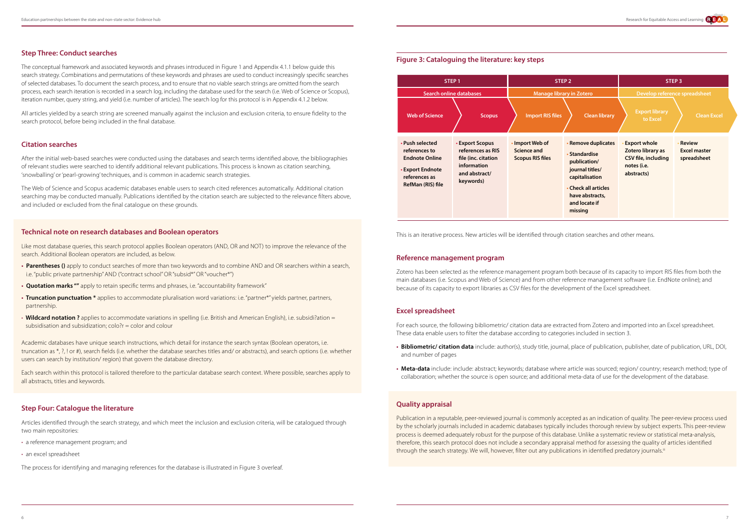## **Step Three: Conduct searches**

The conceptual framework and associated keywords and phrases introduced in Figure 1 and Appendix 4.1.1 below guide this search strategy. Combinations and permutations of these keywords and phrases are used to conduct increasingly specific searches of selected databases. To document the search process, and to ensure that no viable search strings are omitted from the search process, each search iteration is recorded in a search log, including the database used for the search (i.e. Web of Science or Scopus), iteration number, query string, and yield (i.e. number of articles). The search log for this protocol is in Appendix 4.1.2 below.

All articles yielded by a search string are screened manually against the inclusion and exclusion criteria, to ensure fidelity to the search protocol, before being included in the final database.

### **Citation searches**

- **Parentheses ()** apply to conduct searches of more than two keywords and to combine AND and OR searchers within a search, i.e. "public private partnership" AND ("contract school" OR "subsid\*" OR "voucher\*")
- **Quotation marks ""** apply to retain specific terms and phrases, i.e. "accountability framework"
- **Truncation punctuation \*** applies to accommodate pluralisation word variations: i.e. "partner\*" yields partner, partners, partnership.
- **Wildcard notation ?** applies to accommodate variations in spelling (i.e. British and American English), i.e. subsidi?ation = subsidisation and subsidization;  $\text{colo?r} = \text{color}$  and  $\text{colour}$

After the initial web-based searches were conducted using the databases and search terms identified above, the bibliographies of relevant studies were searched to identify additional relevant publications. This process is known as citation searching, 'snowballing' or 'pearl-growing' techniques, and is common in academic search strategies.

The Web of Science and Scopus academic databases enable users to search cited references automatically. Additional citation searching may be conducted manually. Publications identified by the citation search are subjected to the relevance filters above, and included or excluded from the final catalogue on these grounds.

#### **Technical note on research databases and Boolean operators**

Like most database queries, this search protocol applies Boolean operators (AND, OR and NOT) to improve the relevance of the search. Additional Boolean operators are included, as below.

> Publication in a reputable, peer-reviewed journal is commonly accepted as an indication of quality. The peer-review process used by the scholarly journals included in academic databases typically includes thorough review by subject experts. This peer-review process is deemed adequately robust for the purpose of this database. Unlike a systematic review or statistical meta-analysis, therefore, this search protocol does not include a secondary appraisal method for assessing the quality of articles identified through the search strategy. We will, however, filter out any publications in identified predatory journals.iii



Academic databases have unique search instructions, which detail for instance the search syntax (Boolean operators, i.e. truncation as \*, ?, ! or #), search fields (i.e. whether the database searches titles and/ or abstracts), and search options (i.e. whether users can search by institution/ region) that govern the database directory.

Each search within this protocol is tailored therefore to the particular database search context. Where possible, searches apply to all abstracts, titles and keywords.

### **Step Four: Catalogue the literature**

Articles identified through the search strategy, and which meet the inclusion and exclusion criteria, will be catalogued through two main repositories:

- a reference management program; and
- an excel spreadsheet

The process for identifying and managing references for the database is illustrated in Figure 3 overleaf.

## **Figure 3: Cataloguing the literature: key steps**

This is an iterative process. New articles will be identified through citation searches and other means.

#### **Reference management program**

Zotero has been selected as the reference management program both because of its capacity to import RIS files from both the main databases (i.e. Scopus and Web of Science) and from other reference management software (i.e. EndNote online); and because of its capacity to export libraries as CSV files for the development of the Excel spreadsheet.

### **Excel spreadsheet**

For each source, the following bibliometric/ citation data are extracted from Zotero and imported into an Excel spreadsheet. These data enable users to filter the database according to categories included in section 3.



**• Bibliometric/ citation data** include: author(s), study title, journal, place of publication, publisher, date of publication, URL, DOI,

**• Meta-data** include: include: abstract; keywords; database where article was sourced; region/ country; research method; type of

- and number of pages
- collaboration; whether the source is open source; and additional meta-data of use for the development of the database.

#### **Quality appraisal**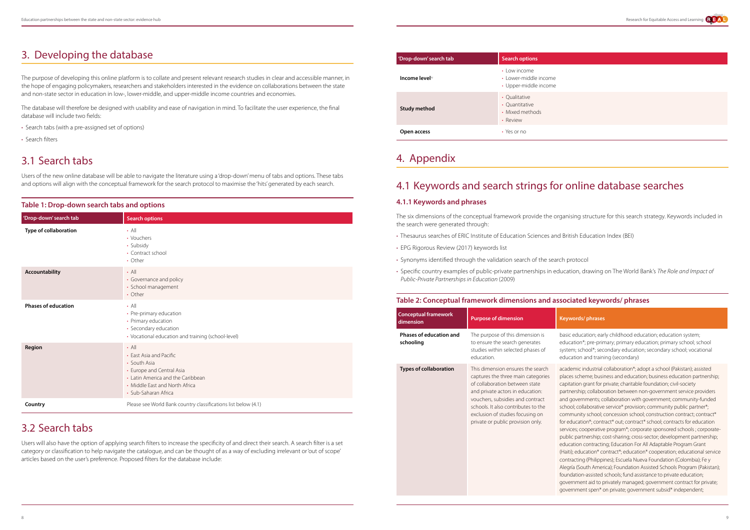

ic education; early childhood education; education system;  $u$ cation\*; pre-primary; primary education; primary school; school tem; school\*; secondary education; secondary school; vocational ication and training (secondary)

demic industrial collaboration\*; adopt a school (Pakistan); assisted ces scheme; business and education; business education partnership; itation grant for private; charitable foundation; civil-society tnership; collaboration between non-government service providers governments; collaboration with government; community-funded ool; collaborative service\* provision; community public partner\*; nmunity school; concession school; construction contract; contract\* education\*; contract\* out; contract\* school; contracts for education vices; cooperative program\*; corporate sponsored schools ; corporateplic partnership; cost-sharing; cross-sector; development partnership; acation contracting; Education For All Adaptable Program Grant (iti); education\* contract\*; education\* cooperation; educational service ntracting (Philippines); Escuela Nueva Foundation (Colombia); Fe y gría (South America); Foundation Assisted Schools Program (Pakistan); ndation-assisted schools; fund assistance to private education; vernment aid to privately managed; government contract for private; vernment spen\* on private; government subsid\* independent;

# 3. Developing the database

The purpose of developing this online platform is to collate and present relevant research studies in clear and accessible manner, in the hope of engaging policymakers, researchers and stakeholders interested in the evidence on collaborations between the state and non-state sector in education in low-, lower-middle, and upper-middle income countries and economies.

The database will therefore be designed with usability and ease of navigation in mind. To facilitate the user experience, the final database will include two fields:

- Search tabs (with a pre-assigned set of options)
- Search filters

# 3.1 Search tabs

Users of the new online database will be able to navigate the literature using a 'drop-down' menu of tabs and options. These tabs and options will align with the conceptual framework for the search protocol to maximise the 'hits' generated by each search.

### **Table 1: Drop-down search tabs and options**

| 'Drop-down' search tab     | <b>Search options</b>                                                                                                                                                              |
|----------------------------|------------------------------------------------------------------------------------------------------------------------------------------------------------------------------------|
| Type of collaboration      | $\cdot$ All<br>• Vouchers<br>• Subsidy<br>• Contract school<br>• Other                                                                                                             |
| Accountability             | $\cdot$ All<br>• Governance and policy<br>· School management<br>• Other                                                                                                           |
| <b>Phases of education</b> | $\cdot$ All<br>• Pre-primary education<br>• Primary education<br>• Secondary education<br>• Vocational education and training (school-level)                                       |
| Region                     | $\cdot$ All<br>• East Asia and Pacific<br>• South Asia<br>• Europe and Central Asia<br>• Latin America and the Caribbean<br>• Middle East and North Africa<br>• Sub-Saharan Africa |
| Country                    | Please see World Bank country classifications list below (4.1)                                                                                                                     |

# 3.2 Search tabs

Users will also have the option of applying search filters to increase the specificity of and direct their search. A search filter is a set category or classification to help navigate the catalogue, and can be thought of as a way of excluding irrelevant or 'out of scope' articles based on the user's preference. Proposed filters for the database include:

| 'Drop-down' search tab     | <b>Search options</b>                                                      |
|----------------------------|----------------------------------------------------------------------------|
| Income level <sup>iv</sup> | $\cdot$ Low income<br>$\cdot$ Lower-middle income<br>• Upper-middle income |
| Study method               | • Qualitative<br>• Ouantitative<br>• Mixed methods<br>• Review             |
| Open access                | $\cdot$ Yes or no                                                          |

# 4. Appendix

# 4.1 Keywords and search strings for online database searches

## **4.1.1 Keywords and phrases**

The six dimensions of the conceptual framework provide the organising structure for this search strategy. Keywords included in the search were generated through:

- Thesaurus searches of ERIC Institute of Education Sciences and British Education Index (BEI)
- EPG Rigorous Review (2017) keywords list
- Synonyms identified through the validation search of the search protocol
- Specific country examples of public-private partnerships in education, drawing on The World Bank's *The Role and Impact of Public-Private Partnerships in Education* (2009)

## **Table 2: Conceptual framework dimensions and associated keywords/ phrases**

| <b>Conceptual framework</b><br>dimension    | <b>Purpose of dimension</b>                                                                                                                                                                                                                                                                       | Keywords/phrases                                                                                                                                                                                                                                                                                                                                                                                                       |
|---------------------------------------------|---------------------------------------------------------------------------------------------------------------------------------------------------------------------------------------------------------------------------------------------------------------------------------------------------|------------------------------------------------------------------------------------------------------------------------------------------------------------------------------------------------------------------------------------------------------------------------------------------------------------------------------------------------------------------------------------------------------------------------|
| <b>Phases of education and</b><br>schooling | The purpose of this dimension is<br>to ensure the search generates<br>studies within selected phases of<br>education.                                                                                                                                                                             | basic education; ear<br>education*; pre-prin<br>system; school*; sec<br>education and traini                                                                                                                                                                                                                                                                                                                           |
| <b>Types of collaboration</b>               | This dimension ensures the search<br>captures the three main categories<br>of collaboration between state<br>and private actors in education:<br>vouchers, subsidies and contract<br>schools. It also contributes to the<br>exclusion of studies focusing on<br>private or public provision only. | academic industrial<br>places scheme; busir<br>capitation grant for p<br>partnership; collabor<br>and governments; co<br>school; collaborative<br>community school; o<br>for education*; contr<br>services; cooperative<br>public partnership; c<br>education contractir<br>(Haiti); education* co<br>contracting (Philippi<br>Alegría (South Amer<br>foundation-assisted<br>government aid to p<br>government spen* c |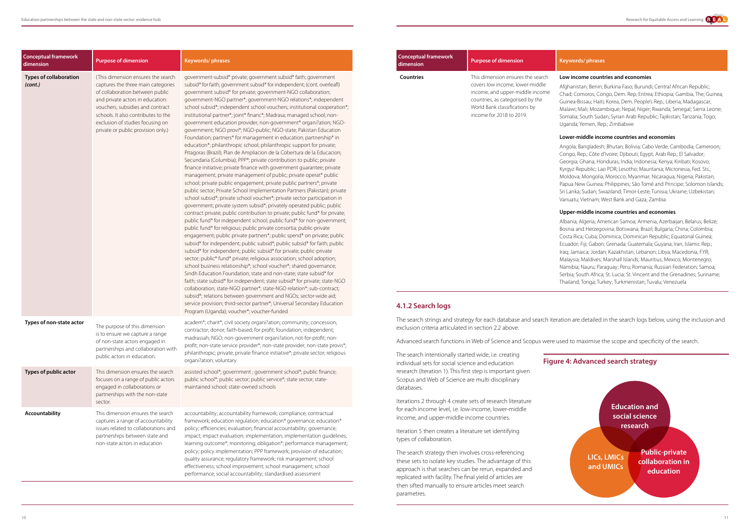| <b>Conceptual framework</b><br>dimension       | <b>Purpose of dimension</b>                                                                                                                                                                                                                                                                          | Keywords/phrases                                                                                                                                                                                                                                                                                                                                                                                                                                                                                                                                                                                                                                                                                                                                                                                                                                                                                                                                                                                                                                                                                                                                                                                                                                                                                                                                                                                                                                                                                                                                                                                                                                                                                                                                                                                                                                                                                                                                                                                                                                                                                                                                                                                                                                                                                                                                                                 | <b>Conceptual framework</b><br>dimension                                                                                                                                                                                                                                                                                                                                                                                                  | <b>Purpose of dimension</b>                                                                                                                                                                              | <b>Keywords/phrases</b>                                                                                                                                                                                                                                                                                                                                                                                                                                                                                                                                                                                           |
|------------------------------------------------|------------------------------------------------------------------------------------------------------------------------------------------------------------------------------------------------------------------------------------------------------------------------------------------------------|----------------------------------------------------------------------------------------------------------------------------------------------------------------------------------------------------------------------------------------------------------------------------------------------------------------------------------------------------------------------------------------------------------------------------------------------------------------------------------------------------------------------------------------------------------------------------------------------------------------------------------------------------------------------------------------------------------------------------------------------------------------------------------------------------------------------------------------------------------------------------------------------------------------------------------------------------------------------------------------------------------------------------------------------------------------------------------------------------------------------------------------------------------------------------------------------------------------------------------------------------------------------------------------------------------------------------------------------------------------------------------------------------------------------------------------------------------------------------------------------------------------------------------------------------------------------------------------------------------------------------------------------------------------------------------------------------------------------------------------------------------------------------------------------------------------------------------------------------------------------------------------------------------------------------------------------------------------------------------------------------------------------------------------------------------------------------------------------------------------------------------------------------------------------------------------------------------------------------------------------------------------------------------------------------------------------------------------------------------------------------------|-------------------------------------------------------------------------------------------------------------------------------------------------------------------------------------------------------------------------------------------------------------------------------------------------------------------------------------------------------------------------------------------------------------------------------------------|----------------------------------------------------------------------------------------------------------------------------------------------------------------------------------------------------------|-------------------------------------------------------------------------------------------------------------------------------------------------------------------------------------------------------------------------------------------------------------------------------------------------------------------------------------------------------------------------------------------------------------------------------------------------------------------------------------------------------------------------------------------------------------------------------------------------------------------|
| <b>Types of collaboration</b><br>$($ cont. $)$ | (This dimension ensures the search<br>captures the three main categories<br>of collaboration between public<br>and private actors in education:<br>vouchers, subsidies and contract<br>schools. It also contributes to the<br>exclusion of studies focusing on<br>private or public provision only.) | government-subsid* private; government subsid* faith; government<br>subsid* for faith; government subsid* for independent; (cont. overleafl)<br>government subsid* for private; government-NGO collaboration;<br>government-NGO partner*; government-NGO relations*; independent<br>school subsid*; independent school vouchers; institutional cooperation*;<br>institutional partner*; joint* financ*; Madrasa; managed school; non-<br>government education provider; non-government* organi?ation; NGO-<br>government; NGO provi*; NGO-public; NGO-state; Pakistan Education<br>Foundation; partners* for management in education; partnership* in<br>education*; philanthropic school; philanthropic support for private;<br>Pitagoras (Brazil); Plan de Ampliacion de la Cobertura de la Educacion;<br>Secundaria (Columbia); PPP*; private contribution to public; private<br>finance initiative; private finance with government guarantee; private<br>management; private management of public; private operat* public<br>school; private public engagement; private public partners*; private<br>public sector; Private School Implementation Partners (Pakistan); private<br>school subsid*; private school voucher*; private sector participation in<br>government; private system subsid*; privately operated public; public<br>contract private; public contribution to private; public fund* for private;<br>public fund* for independent school; public fund* for non-government;<br>public fund* for religious; public private consortia; public-private<br>engagement; public private partners*; public spend* on private; public<br>subsid* for independent; public subsid*; public subsid* for faith; public<br>subsid* for independent; public subsid* for private; public-private<br>sector; public* fund* private; religious association; school adoption;<br>school business relationship*; school voucher*; shared governance;<br>Sindh Education Foundation; state and non-state; state subsid* for<br>faith; state subsid* for independent; state subsid* for private; state-NGO<br>collaboration; state-NGO partner*; state-NGO relation*; sub-contract;<br>subsid*; relations between government and NGOs; sector-wide aid;<br>service provision; third-sector partner*; Universal Secondary Education<br>Program (Uganda); voucher*; voucher-funded | Countries<br>4.1.2 Search logs                                                                                                                                                                                                                                                                                                                                                                                                            | This dimension ensures the search<br>covers low income, lower-middle<br>income, and upper-middle income<br>countries, as categorised by the<br>World Bank classifications by<br>income for 2018 to 2019. | Low income count<br>Afghanistan; Benin;<br>Chad; Comoros; Cor<br>Guinea-Bissau; Haiti<br>Malawi; Mali; Mozan<br>Somalia; South Suda<br>Uganda; Yemen, Rep<br>Lower-middle inco<br>Angola; Bangladesh<br>Congo, Rep.; Côte d<br>Georgia; Ghana; Hor<br>Kyrgyz Republic; Lao<br>Moldova; Mongolia;<br>Papua New Guinea;<br>Sri Lanka; Sudan; Sw<br>Vanuatu; Vietnam; V<br>Upper-middle inco<br>Albania; Algeria; Am<br>Bosnia and Herzego<br>Costa Rica; Cuba; Do<br>Ecuador; Fiji; Gabon<br>Iraq; Jamaica; Jordar<br>Malaysia; Maldives; I<br>Namibia; Nauru; Par<br>Serbia; South Africa;<br>Thailand; Tonga; Tur |
| Types of non-state actor                       | The purpose of this dimension<br>is to ensure we capture a range<br>of non-state actors engaged in<br>partnerships and collaboration with<br>public actors in education.                                                                                                                             | academ*; charit*; civil society organi?ation; community; concession;<br>contractor; donor; faith-based; for profit; foundation; independent;<br>madrassah; NGO; non-government organi?ation; not-for-profit; non-<br>profit; non-state service provider*; non-state provider; non-state provis*;<br>philanthropic; private; private finance initiative*; private sector; religious<br>organi?ation; voluntary                                                                                                                                                                                                                                                                                                                                                                                                                                                                                                                                                                                                                                                                                                                                                                                                                                                                                                                                                                                                                                                                                                                                                                                                                                                                                                                                                                                                                                                                                                                                                                                                                                                                                                                                                                                                                                                                                                                                                                    | exclusion criteria articulated in section 2.2 above.<br>The search intentionally started wide, i.e. creating<br>individual sets for social science and education                                                                                                                                                                                                                                                                          | The search strings and strategy for each database and search iteration are detailed i<br>Advanced search functions in Web of Science and Scopus were used to maximise t                                  | <b>Figure 4: Advanced</b>                                                                                                                                                                                                                                                                                                                                                                                                                                                                                                                                                                                         |
| Types of public actor                          | This dimension ensures the search<br>focuses on a range of public actors<br>engaged in collaborations or<br>partnerships with the non-state<br>sector.                                                                                                                                               | assisted school*; government ; government school*; public finance;<br>public school*; public sector; public service*; state sector; state-<br>maintained school; state-owned schools                                                                                                                                                                                                                                                                                                                                                                                                                                                                                                                                                                                                                                                                                                                                                                                                                                                                                                                                                                                                                                                                                                                                                                                                                                                                                                                                                                                                                                                                                                                                                                                                                                                                                                                                                                                                                                                                                                                                                                                                                                                                                                                                                                                             | databases.                                                                                                                                                                                                                                                                                                                                                                                                                                | research (Iteration 1). This first step is important given<br>Scopus and Web of Science are multi-disciplinary<br>Iterations 2 through 4 create sets of research literature                              |                                                                                                                                                                                                                                                                                                                                                                                                                                                                                                                                                                                                                   |
| Accountability                                 | This dimension ensures the search<br>captures a range of accountability<br>issues related to collaborations and<br>partnerships between state and<br>non-state actors in education                                                                                                                   | accountability; accountability framework; compliance; contractual<br>framework; education regulation; education* governance; education*<br>policy; efficiencies; evaluation; financial accountability; governance;<br>impact; impact evaluation; implementation; implementation guidelines;<br>learning outcome*; monitoring; obligation*; performance management;<br>policy; policy implementation; PPP framework; provision of education;<br>quality assurance; regulatory framework; risk management; school<br>effectiveness; school improvement; school management; school<br>performance; social accountability; standardised assessment                                                                                                                                                                                                                                                                                                                                                                                                                                                                                                                                                                                                                                                                                                                                                                                                                                                                                                                                                                                                                                                                                                                                                                                                                                                                                                                                                                                                                                                                                                                                                                                                                                                                                                                                   | for each income level, i.e. low-income, lower-middle<br>income, and upper-middle income countries.<br>Iteration 5 then creates a literature set identifying<br>types of collaboration.<br>The search strategy then involves cross-referencing<br>these sets to isolate key studies. The advantage of this<br>approach is that searches can be rerun, expanded and<br>المحمد والأنفاذ المنافذة المستكبر والتناسي المخاطب وكالملحق والمخاطب |                                                                                                                                                                                                          | LICs,<br>and I                                                                                                                                                                                                                                                                                                                                                                                                                                                                                                                                                                                                    |



#### **Low income countries and economies**

hanistan; Benin; Burkina Faso; Burundi; Central African Republic; ad; Comoros; Congo, Dem. Rep; Eritrea; Ethiopia; Gambia, The; Guinea; inea-Bissau; Haiti; Korea, Dem. People's Rep.; Liberia; Madagascar; lawi; Mali; Mozambique; Nepal; Niger; Rwanda; Senegal; Sierra Leone; nalia; South Sudan; Syrian Arab Republic; Tajikistan; Tanzania; Togo; anda; Yemen, Rep.; Zimbabwe

#### **Lower-middle income countries and economies**

gola; Bangladesh; Bhutan; Bolivia; Cabo Verde; Cambodia; Cameroon; ngo, Rep.; Côte d'Ivoire; Djibouti; Egypt, Arab Rep.; El Salvador; brgia; Ghana; Honduras; India; Indonesia; Kenya; Kiribati; Kosovo; gyz Republic; Lao PDR; Lesotho; Mauritania; Micronesia, Fed. Sts.; Idova; Mongolia; Morocco; Myanmar; Nicaragua; Nigeria; Pakistan; oua New Guinea; Philippines; São Tomé and Principe; Solomon Islands; Lanka; Sudan; Swaziland; Timor-Leste; Tunisia; Ukraine; Uzbekistan; uatu; Vietnam; West Bank and Gaza; Zambia

#### **Upper-middle income countries and economies**

ania; Algeria; American Samoa; Armenia; Azerbaijan; Belarus; Belize; snia and Herzegovina; Botswana; Brazil; Bulgaria; China; Colombia; sta Rica; Cuba; Dominica; Dominican Republic; Equatorial Guinea; iador; Fiji; Gabon; Grenada; Guatemala; Guyana; Iran, Islamic Rep.; 1; Jamaica; Jordan; Kazakhstan; Lebanon; Libya; Macedonia, FYR; laysia; Maldives; Marshall Islands; Mauritius; Mexico; Montenegro; mibia; Nauru; Paraguay; Peru; Romania; Russian Federation; Samoa; bia; South Africa; St. Lucia; St. Vincent and the Grenadines; Suriname; ailand; Tonga; Turkey; Turkmenistan; Tuvalu; Venezuela

on are detailed in the search logs below, using the inclusion and

I to maximise the scope and specificity of the search.

replicated with facility. The final yield of articles are then sifted manually to ensure articles meet search

parametres.

# **Figure 4: Advanced search strategy**

**Education and social science research**

**LICs, LMICs and UMICs**

**Public-private collaboration in education**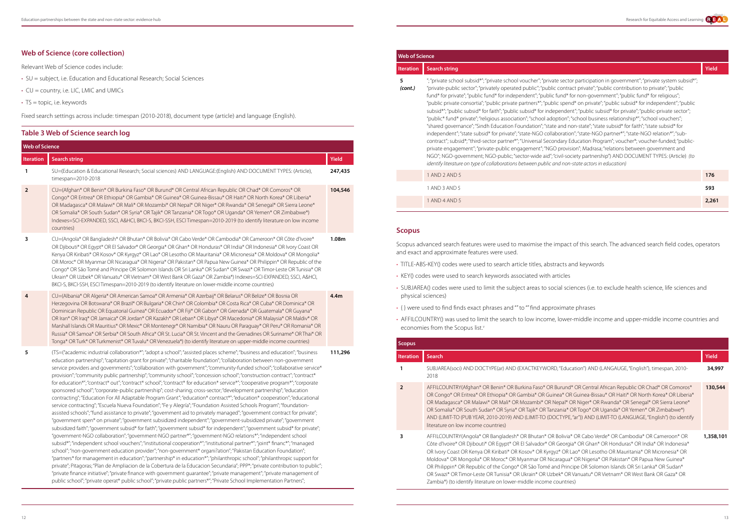- SU = subject, i.e. Education and Educational Research; Social Sciences
- $\cdot$  CU = country, i.e. LIC, LMIC and UMICs
- $\cdot$  TS = topic, i.e. keywords

# **Web of Science (core collection)**

Relevant Web of Science codes include:

Fixed search settings across include: timespan (2010-2018), document type (article) and language (English).

## **Table 3 Web of Science search log**

| <b>Web of Science</b> |                                                                                                                                                                                                                                                                                                                                                                                                                                                                                                                                                                                                                                                                                                                                                                                                                                                                                                                                                                                                                                                                                                                                                                                                                                                                                                                                                                                                                                                                                                                                                                                                                                                                                                                                                                                                                                                                                                                                                                                                                                                                                                                                                                                                                                                                                        |                  |  |
|-----------------------|----------------------------------------------------------------------------------------------------------------------------------------------------------------------------------------------------------------------------------------------------------------------------------------------------------------------------------------------------------------------------------------------------------------------------------------------------------------------------------------------------------------------------------------------------------------------------------------------------------------------------------------------------------------------------------------------------------------------------------------------------------------------------------------------------------------------------------------------------------------------------------------------------------------------------------------------------------------------------------------------------------------------------------------------------------------------------------------------------------------------------------------------------------------------------------------------------------------------------------------------------------------------------------------------------------------------------------------------------------------------------------------------------------------------------------------------------------------------------------------------------------------------------------------------------------------------------------------------------------------------------------------------------------------------------------------------------------------------------------------------------------------------------------------------------------------------------------------------------------------------------------------------------------------------------------------------------------------------------------------------------------------------------------------------------------------------------------------------------------------------------------------------------------------------------------------------------------------------------------------------------------------------------------------|------------------|--|
| Iteration             | <b>Search string</b>                                                                                                                                                                                                                                                                                                                                                                                                                                                                                                                                                                                                                                                                                                                                                                                                                                                                                                                                                                                                                                                                                                                                                                                                                                                                                                                                                                                                                                                                                                                                                                                                                                                                                                                                                                                                                                                                                                                                                                                                                                                                                                                                                                                                                                                                   | <b>Yield</b>     |  |
| 1                     | SU=(Education & Educational Research; Social sciences) AND LANGUAGE:(English) AND DOCUMENT TYPES: (Article),<br>timespan=2010-2018                                                                                                                                                                                                                                                                                                                                                                                                                                                                                                                                                                                                                                                                                                                                                                                                                                                                                                                                                                                                                                                                                                                                                                                                                                                                                                                                                                                                                                                                                                                                                                                                                                                                                                                                                                                                                                                                                                                                                                                                                                                                                                                                                     | 247,435          |  |
| $\overline{2}$        | CU=(Afghan* OR Benin* OR Burkina Faso* OR Burund* OR Central African Republic OR Chad* OR Comoros* OR<br>Congo* OR Eritrea* OR Ethiopia* OR Gambia* OR Guinea* OR Guinea-Bissau* OR Haiti* OR North Korea* OR Liberia*<br>OR Madagasca* OR Malawi* OR Mali* OR Mozambi* OR Nepal* OR Niger* OR Rwanda* OR Senegal* OR Sierra Leone*<br>OR Somalia* OR South Sudan* OR Syria* OR Tajik* OR Tanzania* OR Togo* OR Uganda* OR Yemen* OR Zimbabwe*)<br>Indexes=SCI-EXPANDED, SSCI, A&HCI, BKCI-S, BKCI-SSH, ESCI Timespan=2010-2019 (to identify literature on low income<br>countries)                                                                                                                                                                                                                                                                                                                                                                                                                                                                                                                                                                                                                                                                                                                                                                                                                                                                                                                                                                                                                                                                                                                                                                                                                                                                                                                                                                                                                                                                                                                                                                                                                                                                                                    | 104,546          |  |
| 3                     | CU=(Angola* OR Bangladesh* OR Bhutan* OR Bolivia* OR Cabo Verde* OR Cambodia* OR Cameroon* OR Côte d'Ivoire*<br>OR Djibouti* OR Egypt* OR El Salvador* OR Georgia* OR Ghan* OR Honduras* OR India* OR Indonesia* OR Ivory Coast OR<br>Kenya OR Kiribati* OR Kosov* OR Kyrgyz* OR Lao* OR Lesotho OR Mauritania* OR Micronesia* OR Moldova* OR Mongolia*<br>OR Moroc* OR Myanmar OR Nicaragua* OR Nigeria* OR Pakistan* OR Papua New Guinea* OR Philippin* OR Republic of the<br>Congo* OR São Tomé and Principe OR Solomon Islands OR Sri Lanka* OR Sudan* OR Swazi* OR Timor-Leste OR Tunisia* OR<br>Ukrain* OR Uzbek* OR Vanuatu* OR Vietnam* OR West Bank OR Gaza* OR Zambia*) Indexes=SCI-EXPANDED, SSCI, A&HCI,<br>BKCI-S, BKCI-SSH, ESCI Timespan=2010-2019 (to identify literature on lower-middle income countries)                                                                                                                                                                                                                                                                                                                                                                                                                                                                                                                                                                                                                                                                                                                                                                                                                                                                                                                                                                                                                                                                                                                                                                                                                                                                                                                                                                                                                                                            | 1.08m            |  |
| 4                     | CU=(Albania* OR Algeria* OR American Samoa* OR Armenia* OR Azerbaij* OR Belarus* OR Belize* OR Bosnia OR<br>Herzegovina OR Botswana* OR Brazil* OR Bulgaria* OR Chin* OR Colombia* OR Costa Rica* OR Cuba* OR Dominica* OR<br>Dominican Republic OR Equatorial Guinea* OR Ecuador* OR Fiji* OR Gabon* OR Grenada* OR Guatemala* OR Guyana*<br>OR Iran* OR Iraq* OR Jamaica* OR Jordan* OR Kazakh* OR Leban* OR Libya* OR Macedonia* OR Malaysia* OR Maldiv* OR<br>Marshall Islands OR Mauritius* OR Mexic* OR Montenegr* OR Namibia* OR Nauru OR Paraguay* OR Peru* OR Romania* OR<br>Russia* OR Samoa* OR Serbia* OR South Africa* OR St. Lucia* OR St. Vincent and the Grenadines OR Suriname* OR Thai* OR<br>Tonga* OR Turk* OR Turkmenist* OR Tuvalu* OR Venezuela*) (to identify literature on upper-middle income countries)                                                                                                                                                                                                                                                                                                                                                                                                                                                                                                                                                                                                                                                                                                                                                                                                                                                                                                                                                                                                                                                                                                                                                                                                                                                                                                                                                                                                                                                     | 4.4 <sub>m</sub> |  |
| 5                     | (TS=("academic industrial collaboration*";"adopt a school";"assisted places scheme";"business and education";"business<br>education partnership"; "capitation grant for private"; "charitable foundation"; "collaboration between non-government<br>service providers and governments"; "collaboration with government"; "community-funded school"; "collaborative service*<br>provision"; "community public partnership"; "community school"; "concession school"; "construction contract"; "contract*<br>for education*"; "contract* out"; "contract* school"; "contract* for education* service*"; "cooperative program*"; "corporate<br>sponsored school"; "corporate-public partnership"; cost-sharing; cross-sector; "development partnership"; "education<br>contracting"; "Education For All Adaptable Program Grant"; "education* contract*"; "education* cooperation"; "educational<br>service contracting"; "Escuela Nueva Foundation"; "Fe y Alegría"; "Foundation Assisted Schools Program"; "foundation-<br>assisted schools", "fund assistance to private"; "government aid to privately managed"; "government contract for private";<br>"government spen* on private"; "government subsidized independent"; "government-subsidized private"; "government<br>subsidized faith";"government subsid* for faith";"government subsid* for independent";"government subsid* for private";<br>"government-NGO collaboration"; "government-NGO partner*"; "government-NGO relations*"; "independent school<br>subsid*"; "independent school vouchers"; "institutional cooperation*"; "institutional partner*"; "joint* financ*"; "managed<br>school"; "non-government education provider"; "non-government* organi?ation"; "Pakistan Education Foundation";<br>"partners* for management in education"; "partnership* in education*"; "philanthropic school"; "philanthropic support for<br>private"; Pitagoras; "Plan de Ampliacion de la Cobertura de la Educacion Secundaria"; PPP*; "private contribution to public";<br>"private finance initiative"; "private finance with government guarantee"; "private management"; "private management of<br>public school"; "private operat* public school"; "private public partners*"; "Private School Implementation Partners"; | 111,296          |  |

- TITLE-ABS-KEY() codes were used to search article titles, abstracts and keywords
- KEY() codes were used to search keywords associated with articles
- SUBJAREA() codes were used to limit the subject areas to social sciences (i.e. to exclude health science, life sciences and physical sciences)
- { } were used to find finds exact phrases and "" to "" find approximate phrases
- AFFILCOUNTRY() was used to limit the search to low income, lower-middle income and upper-middle income countries and economies from the Scopus list.<sup>v</sup>

| <b>Iteration</b> | <b>Search string</b>                                                                                                                                                                                                                                                                                                                                                                                                                                                                                                                                                                                                                                                                                                                                                                                                                                                                                                                                                                                                                                                                                                                                                                                                                                                                                                                                                                                                                                                                                           | <b>Yield</b> |
|------------------|----------------------------------------------------------------------------------------------------------------------------------------------------------------------------------------------------------------------------------------------------------------------------------------------------------------------------------------------------------------------------------------------------------------------------------------------------------------------------------------------------------------------------------------------------------------------------------------------------------------------------------------------------------------------------------------------------------------------------------------------------------------------------------------------------------------------------------------------------------------------------------------------------------------------------------------------------------------------------------------------------------------------------------------------------------------------------------------------------------------------------------------------------------------------------------------------------------------------------------------------------------------------------------------------------------------------------------------------------------------------------------------------------------------------------------------------------------------------------------------------------------------|--------------|
| 5<br>(cont.)     | ";"private school subsid*";"private school voucher";"private sector participation in government";"private system subsid*";"<br>"private-public sector"; "privately operated public"; "public contract private"; "public contribution to private"; "public<br>fund* for private"; "public fund* for independent"; "public fund* for non-government"; "public fund* for religious";<br>"public private consortia"; "public private partners*"; "public spend* on private"; "public subsid* for independent"; "public<br>subsid*"; "public subsid* for faith"; "public subsid* for independent"; "public subsid* for private"; "public-private sector";<br>"public* fund* private"; "religious association"; "school adoption"; "school business relationship*"; "school vouchers";<br>"shared governance"; "Sindh Education Foundation"; "state and non-state"; "state subsid* for faith"; "state subsid* for<br>independent"; "state subsid* for private"; "state-NGO collaboration"; "state-NGO partner*"; "state-NGO relation*"; "sub-<br>contract"; subsid*; "third-sector partner*"; "Universal Secondary Education Program"; voucher*; voucher-funded; "public-<br>private engagement"; "private-public engagement"; "NGO provision"; Madrasa; "relations between government and<br>NGO"; NGO-government; NGO-public; "sector-wide aid"; "civil-society partnership") AND DOCUMENT TYPES: (Article) (to<br>identify literature on type of collaborations between public and non-state actors in education) |              |
|                  | 1 AND 2 AND 5                                                                                                                                                                                                                                                                                                                                                                                                                                                                                                                                                                                                                                                                                                                                                                                                                                                                                                                                                                                                                                                                                                                                                                                                                                                                                                                                                                                                                                                                                                  | 176          |
|                  | 1 AND 3 AND 5                                                                                                                                                                                                                                                                                                                                                                                                                                                                                                                                                                                                                                                                                                                                                                                                                                                                                                                                                                                                                                                                                                                                                                                                                                                                                                                                                                                                                                                                                                  | 593          |
|                  | 1 AND 4 AND 5                                                                                                                                                                                                                                                                                                                                                                                                                                                                                                                                                                                                                                                                                                                                                                                                                                                                                                                                                                                                                                                                                                                                                                                                                                                                                                                                                                                                                                                                                                  | 2,261        |

# **Scopus**

Scopus advanced search features were used to maximise the impact of this search. The advanced search field codes, operators and exact and approximate features were used.

| <b>Scopus</b> |                                                                                                                                                                                                                                                                                                                                                                                                                                                                                                                                                                                                                                                                                                                                                         |              |
|---------------|---------------------------------------------------------------------------------------------------------------------------------------------------------------------------------------------------------------------------------------------------------------------------------------------------------------------------------------------------------------------------------------------------------------------------------------------------------------------------------------------------------------------------------------------------------------------------------------------------------------------------------------------------------------------------------------------------------------------------------------------------------|--------------|
| Iteration     | <b>Search</b>                                                                                                                                                                                                                                                                                                                                                                                                                                                                                                                                                                                                                                                                                                                                           | <b>Yield</b> |
|               | SUBJAREA(soci) AND DOCTYPE(ar) AND (EXACTKEYWORD, "Education") AND (LANGAUGE, "English"), timespan, 2010-<br>2018                                                                                                                                                                                                                                                                                                                                                                                                                                                                                                                                                                                                                                       | 34,997       |
| $\mathcal{P}$ | AFFILCOUNTRY(Afghan* OR Benin* OR Burkina Faso* OR Burund* OR Central African Republic OR Chad* OR Comoros*<br>OR Congo* OR Eritrea* OR Ethiopia* OR Gambia* OR Guinea* OR Guinea-Bissau* OR Haiti* OR North Korea* OR Liberia*<br>OR Madagasca* OR Malawi* OR Mali* OR Mozambi* OR Nepal* OR Niger* OR Rwanda* OR Senegal* OR Sierra Leone*<br>OR Somalia* OR South Sudan* OR Syria* OR Tajik* OR Tanzania* OR Togo* OR Uganda* OR Yemen* OR Zimbabwe*)<br>AND (LIMIT-TO (PUB YEAR, 2010-2019) AND (LIMIT-TO (DOCTYPE, "ar")) AND (LIMIT-TO (LANGUAGE, "English") (to identify<br>literature on low income countries)                                                                                                                                  | 130,544      |
| 3             | AFFILCOUNTRY(Angola* OR Bangladesh* OR Bhutan* OR Bolivia* OR Cabo Verde* OR Cambodia* OR Cameroon* OR<br>Côte d'Ivoire* OR Djibouti* OR Egypt* OR El Salvador* OR Georgia* OR Ghan* OR Honduras* OR India* OR Indonesia*<br>OR Ivory Coast OR Kenya OR Kiribati* OR Kosov* OR Kyrgyz* OR Lao* OR Lesotho OR Mauritania* OR Micronesia* OR<br>Moldova* OR Mongolia* OR Moroc* OR Myanmar OR Nicaragua* OR Nigeria* OR Pakistan* OR Papua New Guinea*<br>OR Philippin* OR Republic of the Congo* OR São Tomé and Principe OR Solomon Islands OR Sri Lanka* OR Sudan*<br>OR Swazi* OR Timor-Leste OR Tunisia* OR Ukrain* OR Uzbek* OR Vanuatu* OR Vietnam* OR West Bank OR Gaza* OR<br>Zambia*) (to identify literature on lower-middle income countries) | 1,358,101    |

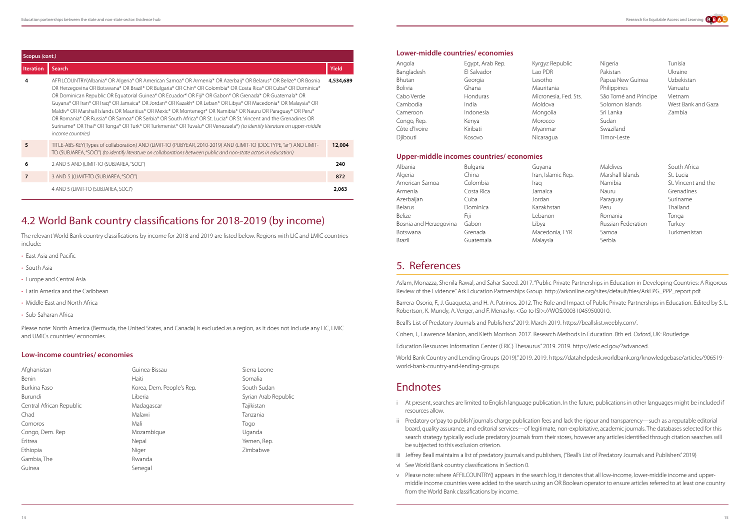| Scopus (cont.)   |                                                                                                                                                                                                                                                                                                                                                                                                                                                                                                                                                                                                                                                                                                                                                                                                                                                        |              |  |  |
|------------------|--------------------------------------------------------------------------------------------------------------------------------------------------------------------------------------------------------------------------------------------------------------------------------------------------------------------------------------------------------------------------------------------------------------------------------------------------------------------------------------------------------------------------------------------------------------------------------------------------------------------------------------------------------------------------------------------------------------------------------------------------------------------------------------------------------------------------------------------------------|--------------|--|--|
| <b>Iteration</b> | <b>Search</b>                                                                                                                                                                                                                                                                                                                                                                                                                                                                                                                                                                                                                                                                                                                                                                                                                                          | <b>Yield</b> |  |  |
| 4                | AFFILCOUNTRY(Albania* OR Algeria* OR American Samoa* OR Armenia* OR Azerbaij* OR Belarus* OR Belize* OR Bosnia<br>OR Herzegovina OR Botswana* OR Brazil* OR Bulgaria* OR Chin* OR Colombia* OR Costa Rica* OR Cuba* OR Dominica*<br>OR Dominican Republic OR Equatorial Guinea* OR Ecuador* OR Fiji* OR Gabon* OR Grenada* OR Guatemala* OR<br>Guyana* OR Iran* OR Iraq* OR Jamaica* OR Jordan* OR Kazakh* OR Leban* OR Libya* OR Macedonia* OR Malaysia* OR<br>Maldiv* OR Marshall Islands OR Mauritius* OR Mexic* OR Montenegr* OR Namibia* OR Nauru OR Paraquay* OR Peru*<br>OR Romania* OR Russia* OR Samoa* OR Serbia* OR South Africa* OR St. Lucia* OR St. Vincent and the Grenadines OR<br>Suriname* OR Thai* OR Tonga* OR Turk* OR Turkmenist* OR Tuvalu* OR Venezuela*) (to identify literature on upper-middle<br><i>income countries</i> ) | 4,534,689    |  |  |
| 5                | TITLE-ABS-KEY(Types of collaboration) AND (LIMIT-TO (PUBYEAR, 2010-2019) AND (LIMIT-TO (DOCTYPE, "ar") AND LIMIT-<br>TO (SUBJAREA, "SOCI") (to identify literature on collaborations between public and non-state actors in education)                                                                                                                                                                                                                                                                                                                                                                                                                                                                                                                                                                                                                 | 12,004       |  |  |
| 6                | 2 AND 5 AND (LIMIT-TO (SUBJAREA, "SOCI")                                                                                                                                                                                                                                                                                                                                                                                                                                                                                                                                                                                                                                                                                                                                                                                                               | 240          |  |  |
| $\overline{7}$   | 3 AND 5 ((LIMIT-TO (SUBJAREA, "SOCI")                                                                                                                                                                                                                                                                                                                                                                                                                                                                                                                                                                                                                                                                                                                                                                                                                  | 872          |  |  |
|                  | 4 AND 5 (LIMIT-TO (SUBJAREA, SOCI")                                                                                                                                                                                                                                                                                                                                                                                                                                                                                                                                                                                                                                                                                                                                                                                                                    | 2,063        |  |  |

# 4.2 World Bank country classifications for 2018-2019 (by income)

The relevant World Bank country classifications by income for 2018 and 2019 are listed below. Regions with LIC and LMIC countries include:

- East Asia and Pacific
- South Asia
- Europe and Central Asia
- Latin America and the Caribbean
- Middle East and North Africa
- Sub-Saharan Africa

Aslam, Monazza, Shenila Rawal, and Sahar Saeed. 2017. "Public-Private Partnerships in Education in Developing Countries: A Rigorous Review of the Evidence." Ark Education Partnerships Group. http://arkonline.org/sites/default/files/ArkEPG\_PPP\_report.pdf.

Please note: North America (Bermuda, the United States, and Canada) is excluded as a region, as it does not include any LIC, LMIC and UMICs countries/ economies.

#### **Low-income countries/ economies**

| Afghanistan              | Guinea-Bissau             | Sierra Leo |
|--------------------------|---------------------------|------------|
| Benin                    | Haiti                     | Somalia    |
| Burkina Faso             | Korea, Dem. People's Rep. | South Su   |
| Burundi                  | Liberia                   | Syrian Ar  |
| Central African Republic | Madagascar                | Tajikistan |
| Chad                     | Malawi                    | Tanzania   |
| Comoros                  | Mali                      | Togo       |
| Congo, Dem. Rep          | Mozambique                | Uganda     |
| Eritrea                  | Nepal                     | Yemen, R   |
| Ethiopia                 | Niger                     | Zimbabv    |
| Gambia, The              | Rwanda                    |            |
| Guinea                   | Senegal                   |            |
|                          |                           |            |

Sierra Leone eople's Rep. **Easing Couth Sudan** Syrian Arab Republic Yemen, Rep. Zimbabwe

### **Lower-middle countries/ economies**

- i At present, searches are limited to English language publication. In the future, publications in other languages might be included if resources allow.
- ii Predatory or 'pay to publish' journals charge publication fees and lack the rigour and transparency—such as a reputable editorial board, quality assurance, and editorial services—of legitimate, non-exploitative, academic journals. The databases selected for this search strategy typically exclude predatory journals from their stores, however any articles identified through citation searches will be subjected to this exclusion criterion.
- iii Jeffrey Beall maintains a list of predatory journals and publishers, ("Beall's List of Predatory Journals and Publishers" 2019)
- vi See World Bank country classifications in Section 0.
- v Please note: where AFFILCOUNTRY() appears in the search log, it denotes that all low-income, lower-middle income and uppermiddle income countries were added to the search using an OR Boolean operator to ensure articles referred to at least one country from the World Bank classifications by income.

| Angola                 | Egypt, Arab Rep.                                | Kyrgyz Republic       | Nigeria               | Tunisia             |
|------------------------|-------------------------------------------------|-----------------------|-----------------------|---------------------|
| Bangladesh             | El Salvador                                     | Lao PDR               | Pakistan              | Ukraine             |
| <b>Bhutan</b>          | Georgia                                         | Lesotho               | Papua New Guinea      | Uzbekistan          |
| <b>Bolivia</b>         | Ghana                                           | Mauritania            | Philippines           | Vanuatu             |
| Cabo Verde             | Honduras                                        | Micronesia, Fed. Sts. | São Tomé and Principe | Vietnam             |
| Cambodia               | India                                           | Moldova               | Solomon Islands       | West Bank and Gaza  |
| Cameroon               | Indonesia                                       | Mongolia              | Sri Lanka             | Zambia              |
| Congo, Rep.            | Kenya                                           | Morocco               | Sudan                 |                     |
| Côte d'Ivoire          | Kiribati                                        | Myanmar               | Swaziland             |                     |
| Djibouti               | Kosovo                                          | Nicaragua             | Timor-Leste           |                     |
|                        |                                                 |                       |                       |                     |
|                        | <b>Upper-middle incomes countries/economies</b> |                       |                       |                     |
| Albania                | Bulgaria                                        | Guyana                | Maldives              | South Africa        |
| Algeria                | China                                           | Iran, Islamic Rep.    | Marshall Islands      | St. Lucia           |
| American Samoa         | Colombia                                        | <i>Iraq</i>           | Namibia               | St. Vincent and the |
| Armenia                | Costa Rica                                      | Jamaica               | Nauru                 | Grenadines          |
| Azerbaijan             | Cuba                                            | Jordan                | Paraguay              | Suriname            |
| <b>Belarus</b>         | Dominica                                        | Kazakhstan            | Peru                  | Thailand            |
| <b>Belize</b>          | Fiji                                            | Lebanon               | Romania               | Tonga               |
| Bosnia and Herzegovina | Gabon                                           | Libya                 | Russian Federation    | Turkey              |
| Botswana               | Grenada                                         | Macedonia, FYR        | Samoa                 | Turkmenistan        |
| $D_{\nu}$ $\sim$ $-1$  | $C$ ustanaala.                                  | $M \sim 1$            | $C$ orbits            |                     |

| Angola                                   | Egypt, Arab Rep. | Kyrgyz Republic       | Nigeria               | Tunisia             |
|------------------------------------------|------------------|-----------------------|-----------------------|---------------------|
| Bangladesh                               | El Salvador      | Lao PDR               | Pakistan              | Ukraine             |
| Bhutan                                   | Georgia          | Lesotho               | Papua New Guinea      | Uzbekistan          |
| <b>Bolivia</b>                           | Ghana            | Mauritania            | Philippines           | Vanuatu             |
| Cabo Verde                               | Honduras         | Micronesia, Fed. Sts. | São Tomé and Principe | Vietnam             |
| Cambodia                                 | India            | Moldova               | Solomon Islands       | West Bank and Gaza  |
| Cameroon                                 | Indonesia        | Mongolia              | Sri Lanka             | Zambia              |
| Congo, Rep.                              | Kenya            | Morocco               | Sudan                 |                     |
| Côte d'Ivoire                            | Kiribati         | Myanmar               | Swaziland             |                     |
| Djibouti                                 | Kosovo           | Nicaragua             | Timor-Leste           |                     |
|                                          |                  |                       |                       |                     |
| Upper-middle incomes countries/economies |                  |                       |                       |                     |
| Albania                                  | Bulgaria         | Guyana                | Maldives              | South Africa        |
| Algeria                                  | China            | Iran, Islamic Rep.    | Marshall Islands      | St. Lucia           |
| American Samoa                           | Colombia         | <i>Iraq</i>           | Namibia               | St. Vincent and the |
| Armenia                                  | Costa Rica       | Jamaica               | Nauru                 | Grenadines          |
| Azerbaijan                               | Cuba             | Jordan                | Paraguay              | Suriname            |
| Belarus                                  | Dominica         | Kazakhstan            | Peru                  | Thailand            |
| Belize                                   | Fiji             | Lebanon               | Romania               | Tonga               |
| Bosnia and Herzegovina                   | Gabon            | Libya                 | Russian Federation    | Turkey              |
| Botswana                                 | Grenada          | Macedonia, FYR        | Samoa                 | Turkmenistan        |
| Brazil                                   | Guatemala        | Malaysia              | Serbia                |                     |
|                                          |                  |                       |                       |                     |

# 5. References

Barrera-Osorio, F., J. Guaqueta, and H. A. Patrinos. 2012. The Role and Impact of Public Private Partnerships in Education. Edited by S. L. Robertson, K. Mundy, A. Verger, and F. Menashy. <Go to ISI>://WOS:000310459500010.

Beall's List of Predatory Journals and Publishers." 2019. March 2019. https://beallslist.weebly.com/.

Cohen, L, Lawrence Manion, and Kieth Morrison. 2017. Research Methods in Education. 8th ed. Oxford, UK: Routledge.

Education Resources Information Center (ERIC) Thesaurus." 2019. 2019. https://eric.ed.gov/?advanced.

World Bank Country and Lending Groups (2019)." 2019. 2019. https://datahelpdesk.worldbank.org/knowledgebase/articles/906519 world-bank-country-and-lending-groups.

# **Endnotes**